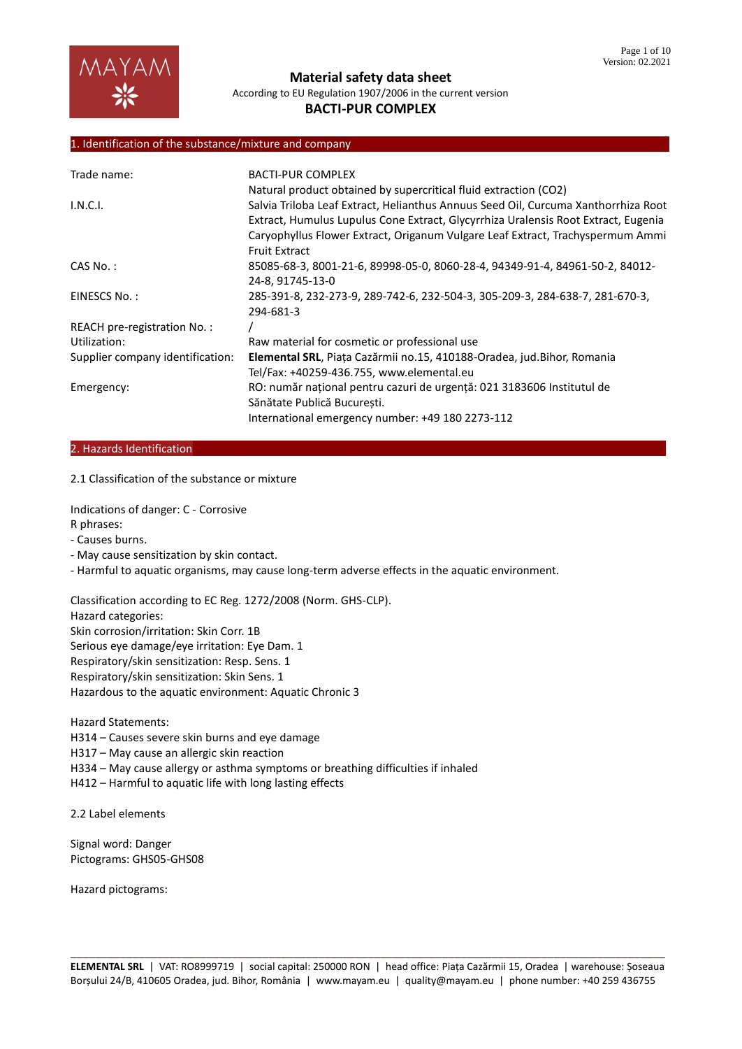

# **BACTI-PUR COMPLEX**

#### 1. Identification of the substance/mixture and company

| Trade name:                      | <b>BACTI-PUR COMPLEX</b>                                                                                                                                                 |
|----------------------------------|--------------------------------------------------------------------------------------------------------------------------------------------------------------------------|
|                                  | Natural product obtained by supercritical fluid extraction (CO2)                                                                                                         |
| I.N.C.I.                         | Salvia Triloba Leaf Extract, Helianthus Annuus Seed Oil, Curcuma Xanthorrhiza Root<br>Extract, Humulus Lupulus Cone Extract, Glycyrrhiza Uralensis Root Extract, Eugenia |
|                                  | Caryophyllus Flower Extract, Origanum Vulgare Leaf Extract, Trachyspermum Ammi<br><b>Fruit Extract</b>                                                                   |
| $CAS No.$ :                      | 85085-68-3, 8001-21-6, 89998-05-0, 8060-28-4, 94349-91-4, 84961-50-2, 84012-<br>24-8, 91745-13-0                                                                         |
| EINESCS No.:                     | 285-391-8, 232-273-9, 289-742-6, 232-504-3, 305-209-3, 284-638-7, 281-670-3,<br>294-681-3                                                                                |
| REACH pre-registration No.:      |                                                                                                                                                                          |
| Utilization:                     | Raw material for cosmetic or professional use                                                                                                                            |
| Supplier company identification: | Elemental SRL, Piata Cazărmii no.15, 410188-Oradea, jud.Bihor, Romania                                                                                                   |
|                                  | Tel/Fax: +40259-436.755, www.elemental.eu                                                                                                                                |
| Emergency:                       | RO: număr national pentru cazuri de urgentă: 021 3183606 Institutul de                                                                                                   |
|                                  | Sănătate Publică București.                                                                                                                                              |
|                                  | International emergency number: +49 180 2273-112                                                                                                                         |

#### 2. Hazards Identification

2.1 Classification of the substance or mixture

Indications of danger: C - Corrosive R phrases:

- Causes burns.
- May cause sensitization by skin contact.

- Harmful to aquatic organisms, may cause long-term adverse effects in the aquatic environment.

Classification according to EC Reg. 1272/2008 (Norm. GHS-CLP).

Hazard categories:

Skin corrosion/irritation: Skin Corr. 1B

Serious eye damage/eye irritation: Eye Dam. 1

Respiratory/skin sensitization: Resp. Sens. 1

Respiratory/skin sensitization: Skin Sens. 1

Hazardous to the aquatic environment: Aquatic Chronic 3

Hazard Statements:

H314 – Causes severe skin burns and eye damage

H317 – May cause an allergic skin reaction

H334 – May cause allergy or asthma symptoms or breathing difficulties if inhaled

H412 – Harmful to aquatic life with long lasting effects

2.2 Label elements

Signal word: Danger Pictograms: GHS05-GHS08

Hazard pictograms: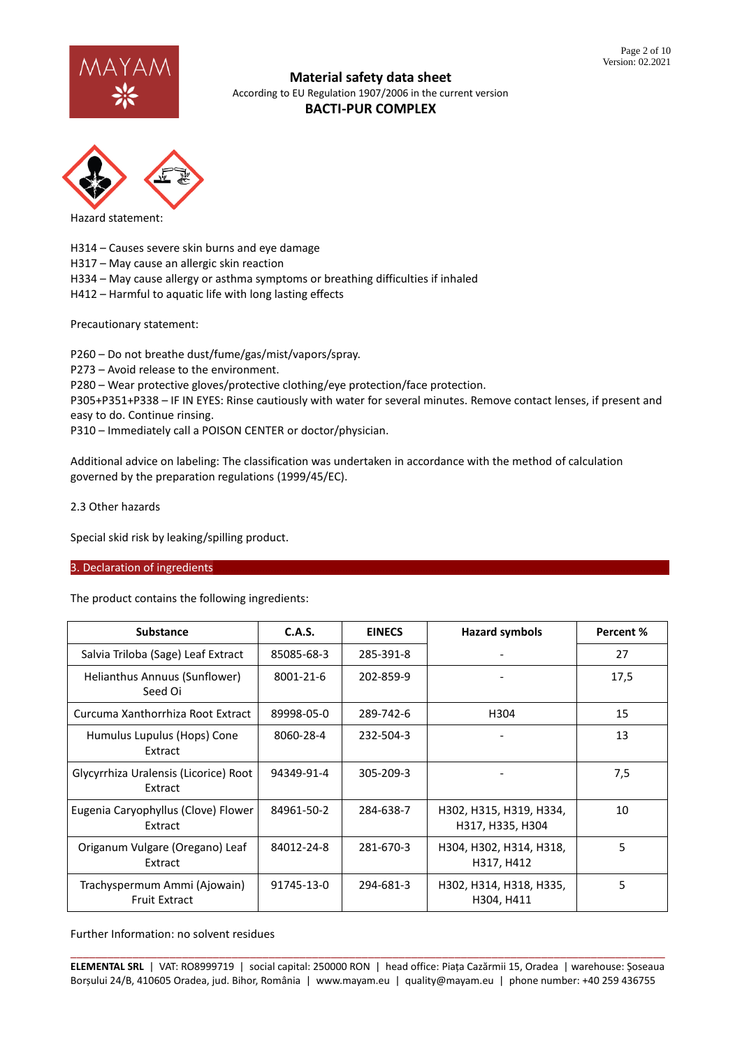



Hazard statement:

H314 – Causes severe skin burns and eye damage

H317 – May cause an allergic skin reaction

H334 – May cause allergy or asthma symptoms or breathing difficulties if inhaled

H412 – Harmful to aquatic life with long lasting effects

Precautionary statement:

P260 – Do not breathe dust/fume/gas/mist/vapors/spray.

P273 – Avoid release to the environment.

P280 – Wear protective gloves/protective clothing/eye protection/face protection.

P305+P351+P338 – IF IN EYES: Rinse cautiously with water for several minutes. Remove contact lenses, if present and easy to do. Continue rinsing.

P310 – Immediately call a POISON CENTER or doctor/physician.

Additional advice on labeling: The classification was undertaken in accordance with the method of calculation governed by the preparation regulations (1999/45/EC).

2.3 Other hazards

Special skid risk by leaking/spilling product.

#### 3. Declaration of ingredients

The product contains the following ingredients:

| <b>Substance</b>                                     | C.A.S.     | <b>EINECS</b> | <b>Hazard symbols</b>                       | Percent % |
|------------------------------------------------------|------------|---------------|---------------------------------------------|-----------|
| Salvia Triloba (Sage) Leaf Extract                   | 85085-68-3 | 285-391-8     |                                             | 27        |
| Helianthus Annuus (Sunflower)<br>Seed Oi             | 8001-21-6  | 202-859-9     |                                             | 17,5      |
| Curcuma Xanthorrhiza Root Extract                    | 89998-05-0 | 289-742-6     | H304                                        | 15        |
| Humulus Lupulus (Hops) Cone<br>Extract               | 8060-28-4  | 232-504-3     |                                             | 13        |
| Glycyrrhiza Uralensis (Licorice) Root<br>Extract     | 94349-91-4 | 305-209-3     |                                             | 7,5       |
| Eugenia Caryophyllus (Clove) Flower<br>Extract       | 84961-50-2 | 284-638-7     | H302, H315, H319, H334,<br>H317, H335, H304 | 10        |
| Origanum Vulgare (Oregano) Leaf<br>Extract           | 84012-24-8 | 281-670-3     | H304, H302, H314, H318,<br>H317, H412       | 5         |
| Trachyspermum Ammi (Ajowain)<br><b>Fruit Extract</b> | 91745-13-0 | 294-681-3     | H302, H314, H318, H335,<br>H304, H411       | 5         |

Further Information: no solvent residues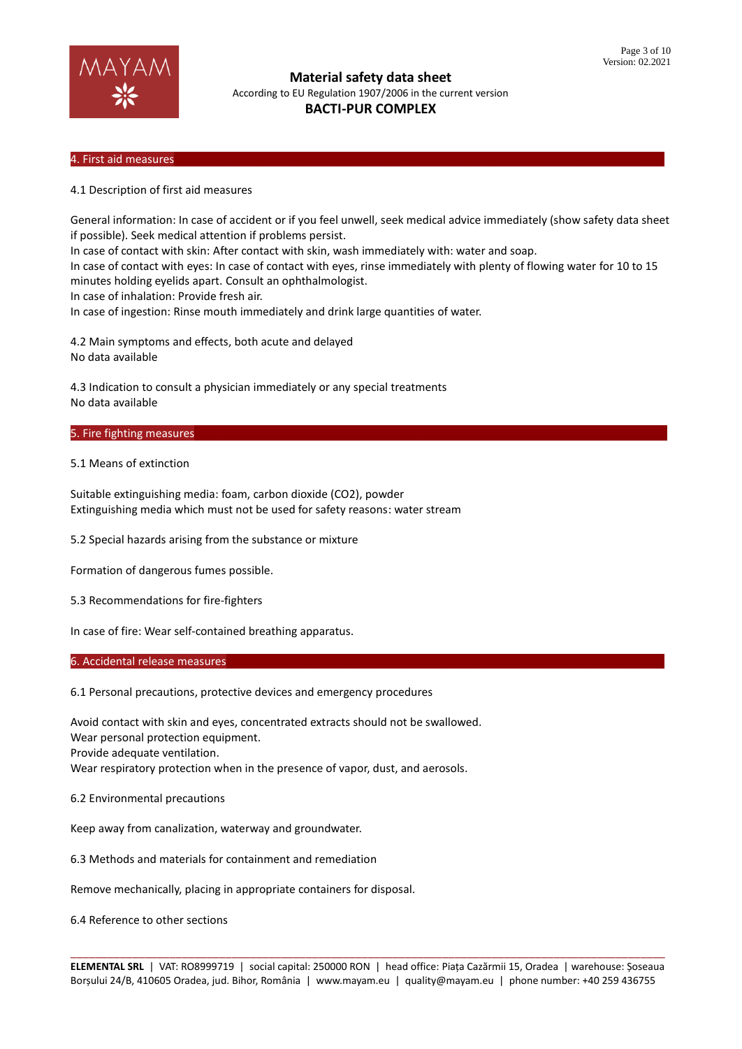

## 4. First aid measures………………………………………………………………………………………………………………………………………………………

4.1 Description of first aid measures

General information: In case of accident or if you feel unwell, seek medical advice immediately (show safety data sheet if possible). Seek medical attention if problems persist.

In case of contact with skin: After contact with skin, wash immediately with: water and soap.

In case of contact with eyes: In case of contact with eyes, rinse immediately with plenty of flowing water for 10 to 15 minutes holding eyelids apart. Consult an ophthalmologist.

In case of inhalation: Provide fresh air.

In case of ingestion: Rinse mouth immediately and drink large quantities of water.

4.2 Main symptoms and effects, both acute and delayed No data available

4.3 Indication to consult a physician immediately or any special treatments No data available

#### 5. Fire fighting measures

5.1 Means of extinction

Suitable extinguishing media: foam, carbon dioxide (CO2), powder Extinguishing media which must not be used for safety reasons: water stream

5.2 Special hazards arising from the substance or mixture

Formation of dangerous fumes possible.

5.3 Recommendations for fire-fighters

In case of fire: Wear self-contained breathing apparatus.

#### 6. Accidental release measures

6.1 Personal precautions, protective devices and emergency procedures

Avoid contact with skin and eyes, concentrated extracts should not be swallowed. Wear personal protection equipment. Provide adequate ventilation. Wear respiratory protection when in the presence of vapor, dust, and aerosols.

6.2 Environmental precautions

Keep away from canalization, waterway and groundwater.

6.3 Methods and materials for containment and remediation

Remove mechanically, placing in appropriate containers for disposal.

6.4 Reference to other sections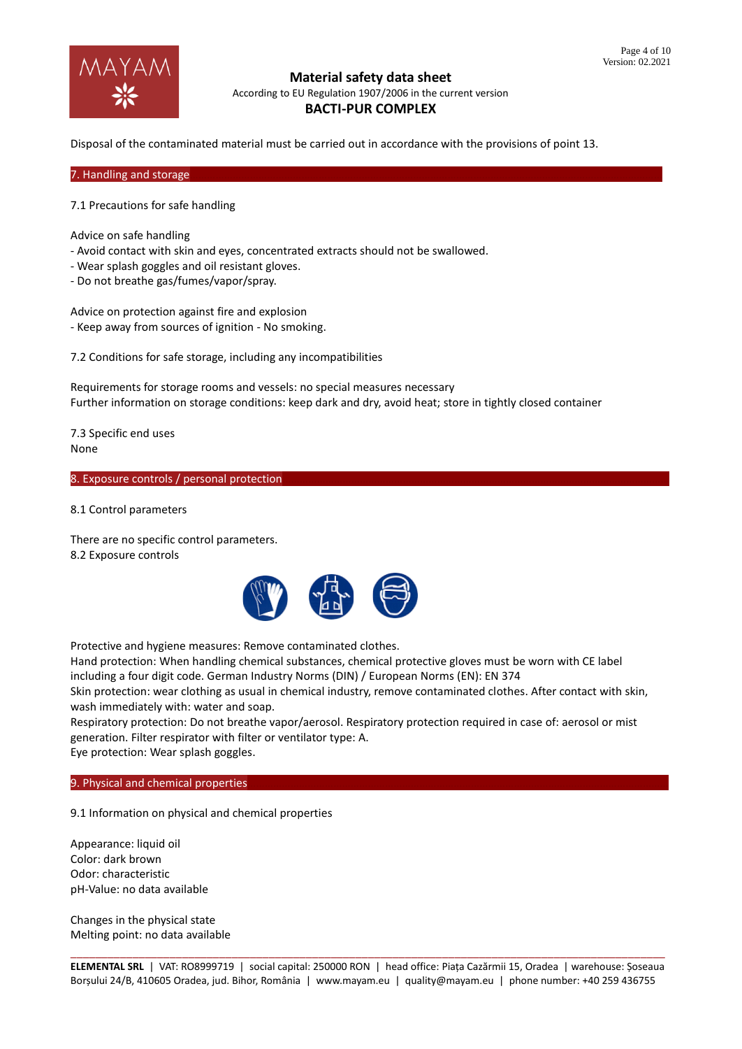

Disposal of the contaminated material must be carried out in accordance with the provisions of point 13.

7. Handling and storage

7.1 Precautions for safe handling

Advice on safe handling

- Avoid contact with skin and eyes, concentrated extracts should not be swallowed.
- Wear splash goggles and oil resistant gloves.
- Do not breathe gas/fumes/vapor/spray.

Advice on protection against fire and explosion - Keep away from sources of ignition - No smoking.

7.2 Conditions for safe storage, including any incompatibilities

Requirements for storage rooms and vessels: no special measures necessary Further information on storage conditions: keep dark and dry, avoid heat; store in tightly closed container

7.3 Specific end uses None

8. Exposure controls / personal protection

8.1 Control parameters

There are no specific control parameters. 8.2 Exposure controls



Protective and hygiene measures: Remove contaminated clothes.

Hand protection: When handling chemical substances, chemical protective gloves must be worn with CE label including a four digit code. German Industry Norms (DIN) / European Norms (EN): EN 374

Skin protection: wear clothing as usual in chemical industry, remove contaminated clothes. After contact with skin, wash immediately with: water and soap.

Respiratory protection: Do not breathe vapor/aerosol. Respiratory protection required in case of: aerosol or mist generation. Filter respirator with filter or ventilator type: A.

Eye protection: Wear splash goggles.

9. Physical and chemical properties

9.1 Information on physical and chemical properties

Appearance: liquid oil Color: dark brown Odor: characteristic pH-Value: no data available

Changes in the physical state Melting point: no data available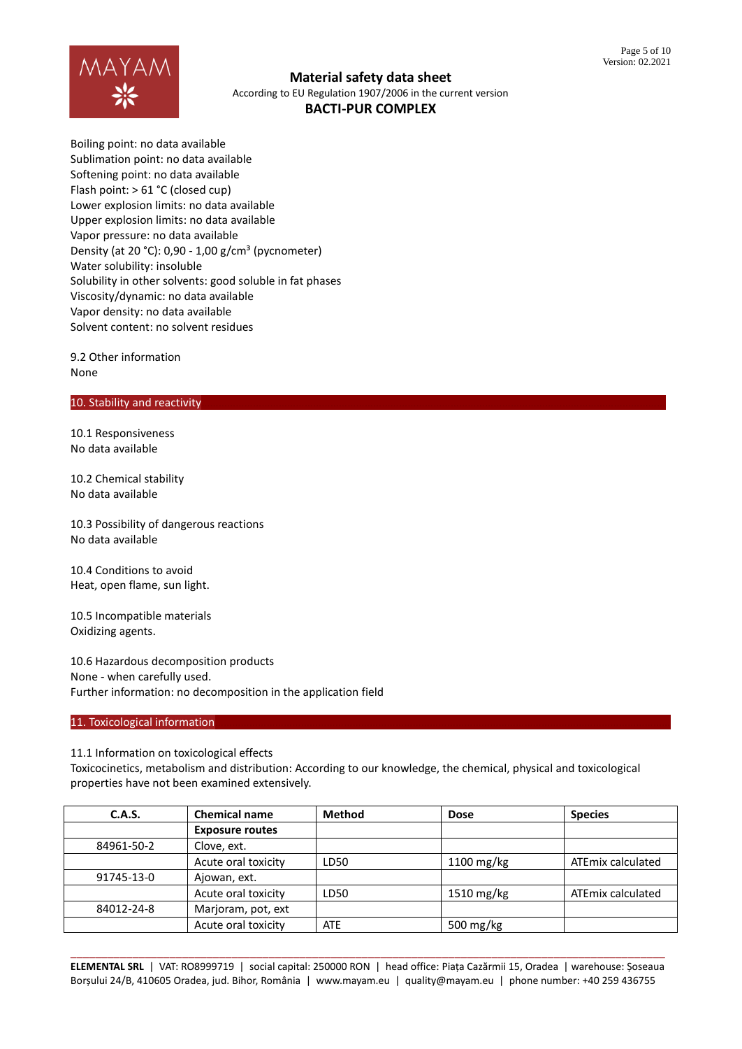

Boiling point: no data available Sublimation point: no data available Softening point: no data available Flash point: > 61 °C (closed cup) Lower explosion limits: no data available Upper explosion limits: no data available Vapor pressure: no data available Density (at 20 °C): 0,90 - 1,00 g/cm<sup>3</sup> (pycnometer) Water solubility: insoluble Solubility in other solvents: good soluble in fat phases Viscosity/dynamic: no data available Vapor density: no data available Solvent content: no solvent residues

9.2 Other information None

#### 10. Stability and reactivity

10.1 Responsiveness No data available

10.2 Chemical stability No data available

10.3 Possibility of dangerous reactions No data available

10.4 Conditions to avoid Heat, open flame, sun light.

10.5 Incompatible materials Oxidizing agents.

10.6 Hazardous decomposition products None - when carefully used. Further information: no decomposition in the application field

11. Toxicological information

11.1 Information on toxicological effects

Toxicocinetics, metabolism and distribution: According to our knowledge, the chemical, physical and toxicological properties have not been examined extensively.

| C.A.S.     | <b>Chemical name</b>   | <b>Method</b> | <b>Dose</b>             | <b>Species</b>    |
|------------|------------------------|---------------|-------------------------|-------------------|
|            | <b>Exposure routes</b> |               |                         |                   |
| 84961-50-2 | Clove, ext.            |               |                         |                   |
|            | Acute oral toxicity    | LD50          | $1100 \,\mathrm{mg/kg}$ | ATEmix calculated |
| 91745-13-0 | Ajowan, ext.           |               |                         |                   |
|            | Acute oral toxicity    | LD50          | 1510 mg/kg              | ATEmix calculated |
| 84012-24-8 | Marjoram, pot, ext     |               |                         |                   |
|            | Acute oral toxicity    | <b>ATE</b>    | 500 mg/kg               |                   |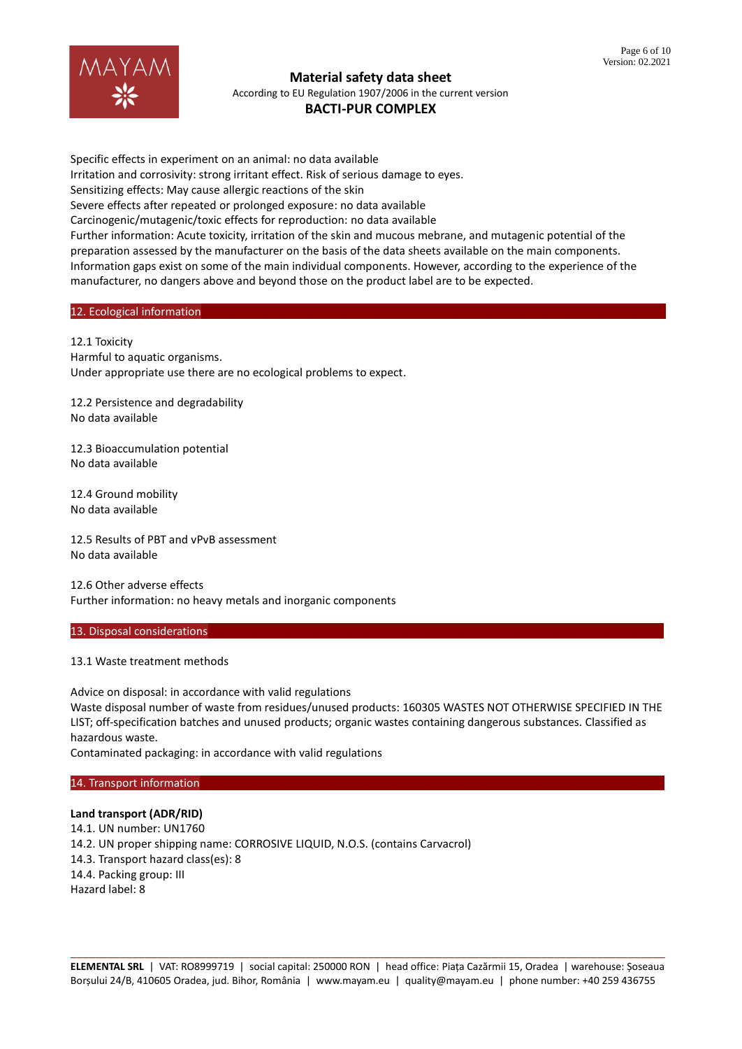

# **BACTI-PUR COMPLEX**

Specific effects in experiment on an animal: no data available Irritation and corrosivity: strong irritant effect. Risk of serious damage to eyes. Sensitizing effects: May cause allergic reactions of the skin Severe effects after repeated or prolonged exposure: no data available Carcinogenic/mutagenic/toxic effects for reproduction: no data available Further information: Acute toxicity, irritation of the skin and mucous mebrane, and mutagenic potential of the preparation assessed by the manufacturer on the basis of the data sheets available on the main components. Information gaps exist on some of the main individual components. However, according to the experience of the manufacturer, no dangers above and beyond those on the product label are to be expected.

### 12. Ecological information

12.1 Toxicity Harmful to aquatic organisms. Under appropriate use there are no ecological problems to expect.

12.2 Persistence and degradability No data available

12.3 Bioaccumulation potential No data available

12.4 Ground mobility No data available

12.5 Results of PBT and vPvB assessment No data available

12.6 Other adverse effects Further information: no heavy metals and inorganic components

#### 13. Disposal considerations

#### 13.1 Waste treatment methods

Advice on disposal: in accordance with valid regulations Waste disposal number of waste from residues/unused products: 160305 WASTES NOT OTHERWISE SPECIFIED IN THE LIST; off-specification batches and unused products; organic wastes containing dangerous substances. Classified as hazardous waste.

Contaminated packaging: in accordance with valid regulations

#### 14. Transport information

#### **Land transport (ADR/RID)**

14.1. UN number: UN1760 14.2. UN proper shipping name: CORROSIVE LIQUID, N.O.S. (contains Carvacrol) 14.3. Transport hazard class(es): 8 14.4. Packing group: III Hazard label: 8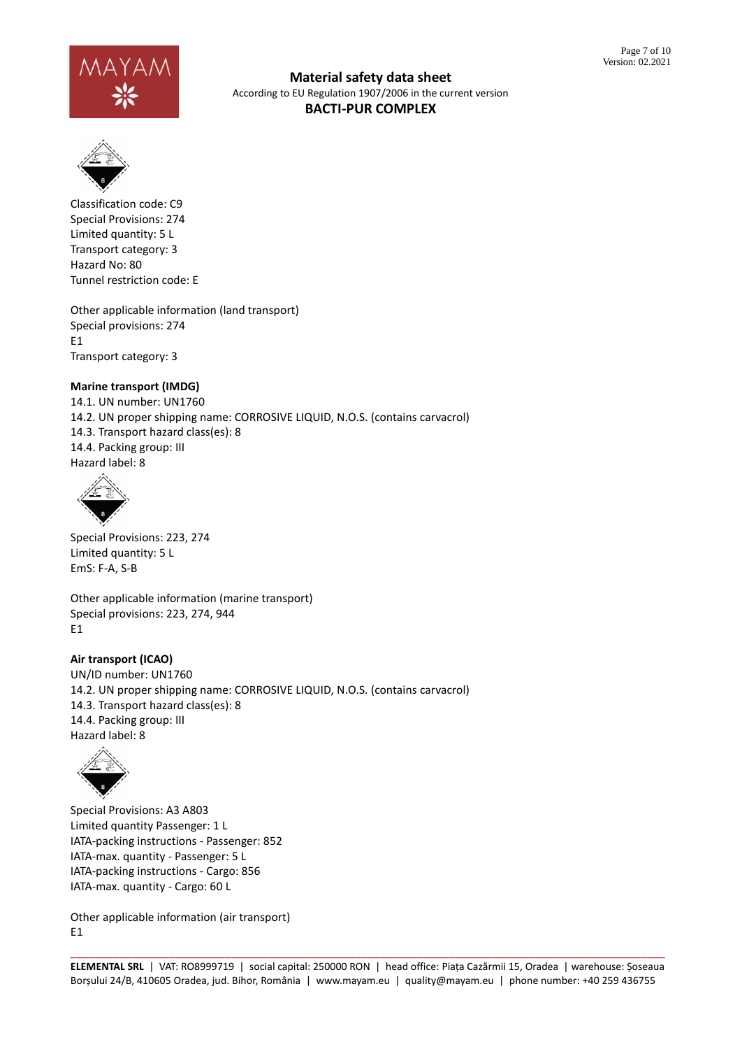



Classification code: C9 Special Provisions: 274 Limited quantity: 5 L Transport category: 3 Hazard No: 80 Tunnel restriction code: E

Other applicable information (land transport) Special provisions: 274 E1 Transport category: 3

## **Marine transport (IMDG)**

14.1. UN number: UN1760 14.2. UN proper shipping name: CORROSIVE LIQUID, N.O.S. (contains carvacrol) 14.3. Transport hazard class(es): 8 14.4. Packing group: III Hazard label: 8



Special Provisions: 223, 274 Limited quantity: 5 L EmS: F-A, S-B

Other applicable information (marine transport) Special provisions: 223, 274, 944 E1

### **Air transport (ICAO)**

UN/ID number: UN1760 14.2. UN proper shipping name: CORROSIVE LIQUID, N.O.S. (contains carvacrol) 14.3. Transport hazard class(es): 8 14.4. Packing group: III Hazard label: 8



Special Provisions: A3 A803 Limited quantity Passenger: 1 L IATA-packing instructions - Passenger: 852 IATA-max. quantity - Passenger: 5 L IATA-packing instructions - Cargo: 856 IATA-max. quantity - Cargo: 60 L

Other applicable information (air transport) E1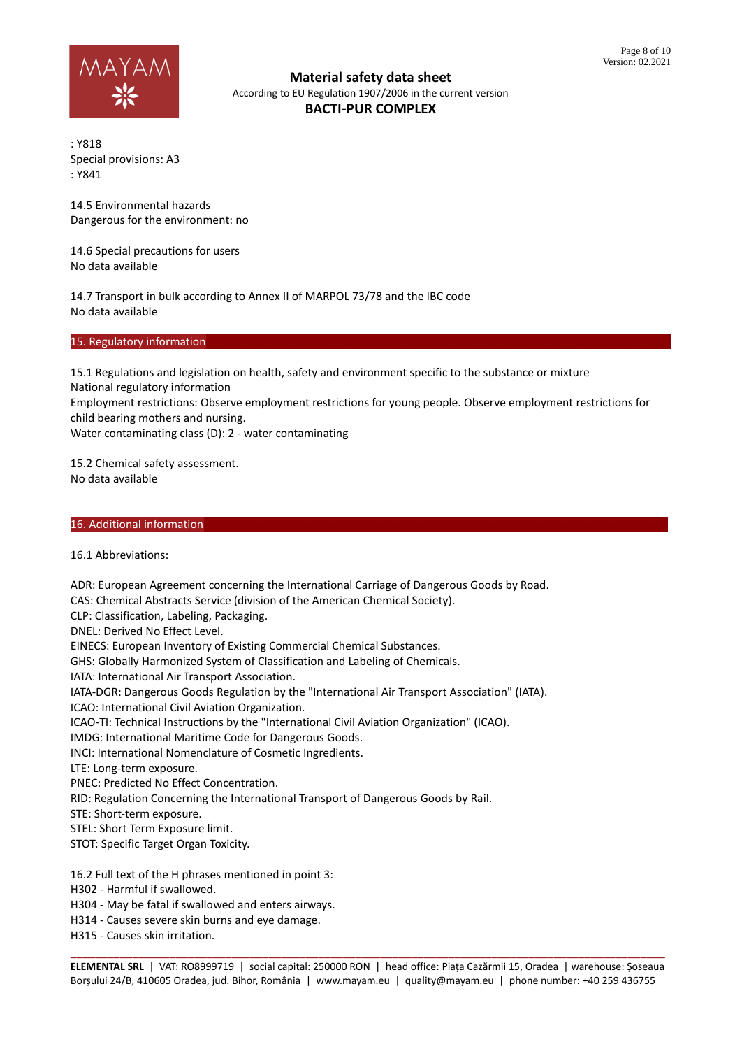

: Y818 Special provisions: A3 : Y841

14.5 Environmental hazards Dangerous for the environment: no

14.6 Special precautions for users No data available

14.7 Transport in bulk according to Annex II of MARPOL 73/78 and the IBC code No data available

15. Regulatory information

15.1 Regulations and legislation on health, safety and environment specific to the substance or mixture National regulatory information

Employment restrictions: Observe employment restrictions for young people. Observe employment restrictions for child bearing mothers and nursing.

Water contaminating class (D): 2 - water contaminating

15.2 Chemical safety assessment. No data available

#### 16. Additional information

16.1 Abbreviations:

ADR: European Agreement concerning the International Carriage of Dangerous Goods by Road. CAS: Chemical Abstracts Service (division of the American Chemical Society). CLP: Classification, Labeling, Packaging. DNEL: Derived No Effect Level. EINECS: European Inventory of Existing Commercial Chemical Substances. GHS: Globally Harmonized System of Classification and Labeling of Chemicals. IATA: International Air Transport Association. IATA-DGR: Dangerous Goods Regulation by the "International Air Transport Association" (IATA). ICAO: International Civil Aviation Organization. ICAO-TI: Technical Instructions by the "International Civil Aviation Organization" (ICAO). IMDG: International Maritime Code for Dangerous Goods. INCI: International Nomenclature of Cosmetic Ingredients. LTE: Long-term exposure. PNEC: Predicted No Effect Concentration. RID: Regulation Concerning the International Transport of Dangerous Goods by Rail. STE: Short-term exposure. STEL: Short Term Exposure limit. STOT: Specific Target Organ Toxicity. 16.2 Full text of the H phrases mentioned in point 3: H302 - Harmful if swallowed. H304 - May be fatal if swallowed and enters airways. H314 - Causes severe skin burns and eye damage. H315 - Causes skin irritation.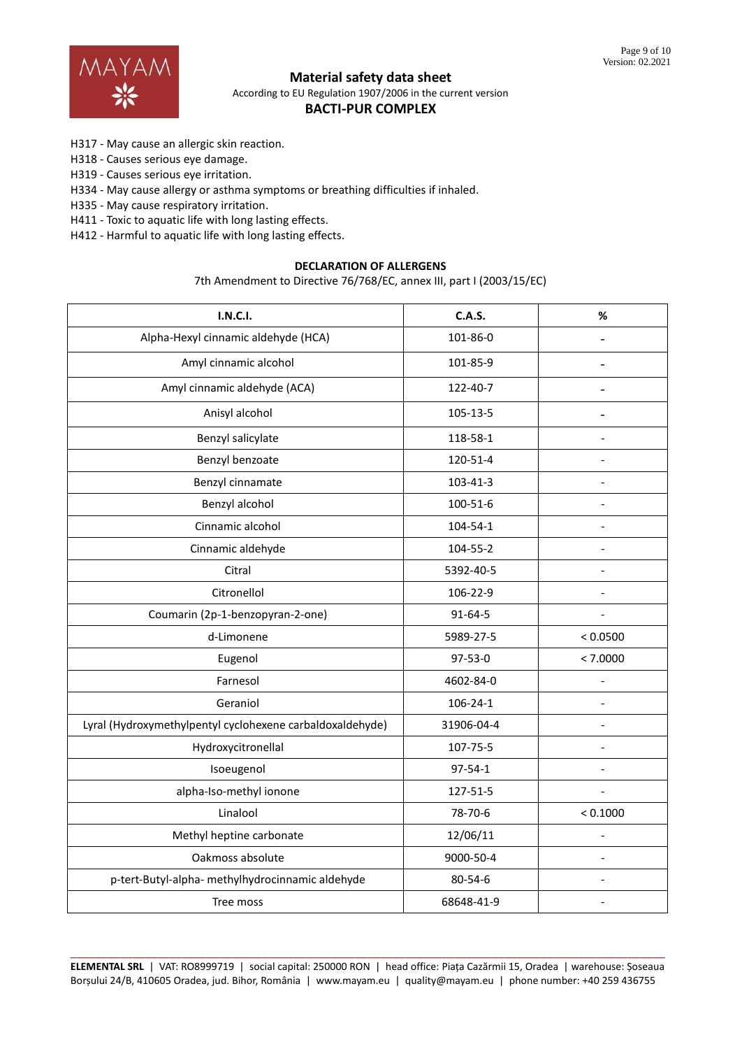

## **BACTI-PUR COMPLEX**

- H317 May cause an allergic skin reaction.
- H318 Causes serious eye damage.
- H319 Causes serious eye irritation.
- H334 May cause allergy or asthma symptoms or breathing difficulties if inhaled.
- H335 May cause respiratory irritation.
- H411 Toxic to aquatic life with long lasting effects.
- H412 Harmful to aquatic life with long lasting effects.

### **DECLARATION OF ALLERGENS**

7th Amendment to Directive 76/768/EC, annex III, part I (2003/15/EC)

| <b>I.N.C.I.</b>                                           | <b>C.A.S.</b> | $\%$           |
|-----------------------------------------------------------|---------------|----------------|
| Alpha-Hexyl cinnamic aldehyde (HCA)                       | 101-86-0      | $\overline{a}$ |
| Amyl cinnamic alcohol                                     | 101-85-9      |                |
| Amyl cinnamic aldehyde (ACA)                              | 122-40-7      | $\overline{a}$ |
| Anisyl alcohol                                            | 105-13-5      | $\overline{a}$ |
| Benzyl salicylate                                         | 118-58-1      | $\overline{a}$ |
| Benzyl benzoate                                           | 120-51-4      |                |
| Benzyl cinnamate                                          | 103-41-3      |                |
| Benzyl alcohol                                            | 100-51-6      | $\overline{a}$ |
| Cinnamic alcohol                                          | 104-54-1      |                |
| Cinnamic aldehyde                                         | 104-55-2      |                |
| Citral                                                    | 5392-40-5     |                |
| Citronellol                                               | 106-22-9      |                |
| Coumarin (2p-1-benzopyran-2-one)                          | 91-64-5       |                |
| d-Limonene                                                | 5989-27-5     | < 0.0500       |
| Eugenol                                                   | 97-53-0       | < 7.0000       |
| Farnesol                                                  | 4602-84-0     | $\overline{a}$ |
| Geraniol                                                  | 106-24-1      |                |
| Lyral (Hydroxymethylpentyl cyclohexene carbaldoxaldehyde) | 31906-04-4    | $\overline{a}$ |
| Hydroxycitronellal                                        | 107-75-5      | $\overline{a}$ |
| Isoeugenol                                                | 97-54-1       |                |
| alpha-Iso-methyl ionone                                   | 127-51-5      |                |
| Linalool                                                  | 78-70-6       | < 0.1000       |
| Methyl heptine carbonate                                  | 12/06/11      | $\overline{a}$ |
| Oakmoss absolute                                          | 9000-50-4     |                |
| p-tert-Butyl-alpha- methylhydrocinnamic aldehyde          | 80-54-6       | $\overline{a}$ |
| Tree moss                                                 | 68648-41-9    |                |
|                                                           |               |                |